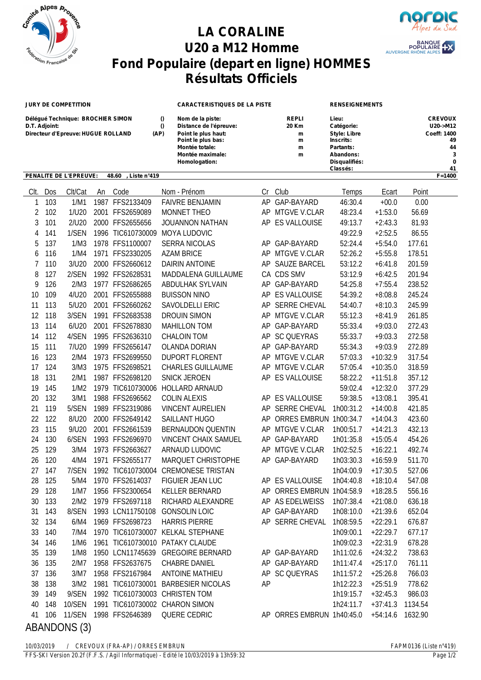

## **LA CORALINE U20 a M12 Homme Fond Populaire (depart en ligne) HOMMES Résultats Officiels**



**Classés: 41**

AUVERGNE

## **JURY DE COMPETITION CARACTERISTIQUES DE LA PISTE RENSEIGNEMENTS Délégué Technique: BROCHIER SIMON () Nom de la piste: REPLI Lieu: CREVOUX D.T. Adjoint: () Distance de l'épreuve: 20 Km Catégorie: U20->M12 Directeur d'Epreuve: HUGUE ROLLAND (AP) Point le plus haut: m Style: Libre Coeff: 1400 Point le plus bas: m Inscrits: 49 Montée totale: m Partants: 44 Montée maximale: 32 a Abandons: 3 a A Homologation: Disqualifiés: 0**

## **PENALITE DE L'EPREUVE: 48.60 , Liste n°419 F=1400**

| Clt.         | Dos | Clt/Cat |  | An Code           | Nom - Prénom                      |    | Cr Club                   | Temps     | Ecart      | Point   |
|--------------|-----|---------|--|-------------------|-----------------------------------|----|---------------------------|-----------|------------|---------|
| 1            | 103 | 1/M1    |  | 1987 FFS2133409   | <b>FAIVRE BENJAMIN</b>            |    | AP GAP-BAYARD             | 46:30.4   | $+00.0$    | 0.00    |
| 2            | 102 | 1/U20   |  | 2001 FFS2659089   | MONNET THEO                       |    | AP MTGVE V.CLAR           | 48:23.4   | $+1:53.0$  | 56.69   |
| 3            | 101 | 2/U20   |  | 2000 FFS2655656   | JOUANNON NATHAN                   |    | AP ES VALLOUISE           | 49:13.7   | $+2:43.3$  | 81.93   |
| 4            | 141 | 1/SEN   |  | 1996 TIC610730009 | MOYA LUDOVIC                      |    |                           | 49:22.9   | $+2:52.5$  | 86.55   |
| 5            | 137 | 1/M3    |  | 1978 FFS1100007   | <b>SERRA NICOLAS</b>              |    | AP GAP-BAYARD             | 52:24.4   | $+5:54.0$  | 177.61  |
| 6            | 116 | 1/M4    |  | 1971 FFS2330205   | <b>AZAM BRICE</b>                 |    | AP MTGVE V.CLAR           | 52:26.2   | $+5:55.8$  | 178.51  |
| 7            | 110 | 3/U20   |  | 2000 FFS2660612   | DAIRIN ANTOINE                    |    | AP SAUZE BARCEL           | 53:12.2   | $+6:41.8$  | 201.59  |
| 8            | 127 | 2/SEN   |  | 1992 FFS2628531   | MADDALENA GUILLAUME               |    | CA CDS SMV                | 53:12.9   | $+6:42.5$  | 201.94  |
| 9            | 126 | 2/M3    |  | 1977 FFS2686265   | ABDULHAK SYLVAIN                  |    | AP GAP-BAYARD             | 54:25.8   | $+7:55.4$  | 238.52  |
| 10           | 109 | 4/U20   |  | 2001 FFS2655888   | <b>BUISSON NINO</b>               |    | AP ES VALLOUISE           | 54:39.2   | $+8:08.8$  | 245.24  |
| 11           | 113 | 5/U20   |  | 2001 FFS2660262   | SAVOLDELLI ERIC                   |    | AP SERRE CHEVAL           | 54:40.7   | $+8:10.3$  | 245.99  |
| 12           | 118 | 3/SEN   |  | 1991 FFS2683538   | <b>DROUIN SIMON</b>               |    | AP MTGVE V.CLAR           | 55:12.3   | $+8:41.9$  | 261.85  |
| 13           | 114 | 6/U20   |  | 2001 FFS2678830   | <b>MAHILLON TOM</b>               |    | AP GAP-BAYARD             | 55:33.4   | $+9:03.0$  | 272.43  |
| 14           | 112 | 4/SEN   |  | 1995 FFS2636310   | <b>CHALOIN TOM</b>                |    | AP SC QUEYRAS             | 55:33.7   | $+9:03.3$  | 272.58  |
| 15           | 111 | 7/U20   |  | 1999 FFS2656147   | OLANDA DORIAN                     |    | AP GAP-BAYARD             | 55:34.3   | $+9:03.9$  | 272.89  |
| 16           | 123 | 2/M4    |  | 1973 FFS2699550   | <b>DUPORT FLORENT</b>             |    | AP MTGVE V.CLAR           | 57:03.3   | $+10:32.9$ | 317.54  |
| 17           | 124 | 3/M3    |  | 1975 FFS2698521   | <b>CHARLES GUILLAUME</b>          |    | AP MTGVE V.CLAR           | 57:05.4   | $+10:35.0$ | 318.59  |
| 18           | 131 | 2/M1    |  | 1987 FFS2698120   | <b>SNICK JEROEN</b>               |    | AP ES VALLOUISE           | 58:22.2   | $+11:51.8$ | 357.12  |
| 19           | 145 | 1/M2    |  | 1979 TIC610730006 | <b>HOLLARD ARNAUD</b>             |    |                           | 59:02.4   | $+12:32.0$ | 377.29  |
| 20           | 132 | 3/M1    |  | 1988 FFS2696562   | <b>COLIN ALEXIS</b>               |    | AP ES VALLOUISE           | 59:38.5   | $+13:08.1$ | 395.41  |
| 21           | 119 | 5/SEN   |  | 1989 FFS2319086   | <b>VINCENT AURELIEN</b>           |    | AP SERRE CHEVAL           | 1h00:31.2 | $+14:00.8$ | 421.85  |
| 22           | 122 | 8/U20   |  | 2000 FFS2649142   | SAILLANT HUGO                     |    | AP ORRES EMBRUN 1h00:34.7 |           | $+14:04.3$ | 423.60  |
| 23           | 115 | 9/U20   |  | 2001 FFS2661539   | <b>BERNAUDON QUENTIN</b>          |    | AP MTGVE V.CLAR           | 1h00:51.7 | $+14:21.3$ | 432.13  |
| 24           | 130 | 6/SEN   |  | 1993 FFS2696970   | <b>VINCENT CHAIX SAMUEL</b>       |    | AP GAP-BAYARD             | 1h01:35.8 | $+15:05.4$ | 454.26  |
| 25           | 129 | 3/M4    |  | 1973 FFS2663627   | ARNAUD LUDOVIC                    |    | AP MTGVE V.CLAR           | 1h02:52.5 | $+16:22.1$ | 492.74  |
| 26           | 120 | 4/M4    |  | 1971 FFS2655177   | MARQUET CHRISTOPHE                |    | AP GAP-BAYARD             | 1h03:30.3 | $+16:59.9$ | 511.70  |
| 27           | 147 | 7/SEN   |  | 1992 TIC610730004 | <b>CREMONESE TRISTAN</b>          |    |                           | 1h04:00.9 | $+17:30.5$ | 527.06  |
| 28           | 125 | 5/M4    |  | 1970 FFS2614037   | FIGUIER JEAN LUC                  |    | AP ES VALLOUISE           | 1h04:40.8 | $+18:10.4$ | 547.08  |
| 29           | 128 | 1/M7    |  | 1956 FFS2300654   | <b>KELLER BERNARD</b>             |    | AP ORRES EMBRUN 1h04:58.9 |           | $+18:28.5$ | 556.16  |
| 30           | 133 | 2/M2    |  | 1979 FFS2697118   | RICHARD ALEXANDRE                 |    | AP AS EDELWEISS           | 1h07:38.4 | $+21:08.0$ | 636.18  |
| 31           | 143 | 8/SEN   |  | 1993 LCN11750108  | <b>GONSOLIN LOIC</b>              |    | AP GAP-BAYARD             | 1h08:10.0 | $+21:39.6$ | 652.04  |
| 32           | 134 | 6/M4    |  | 1969 FFS2698723   | <b>HARRIS PIERRE</b>              |    | AP SERRE CHEVAL           | 1h08:59.5 | $+22:29.1$ | 676.87  |
| 33           | 140 | 7/M4    |  |                   | 1970 TIC610730007 KELKAL STEPHANE |    |                           | 1h09:00.1 | $+22:29.7$ | 677.17  |
| 34           | 146 | 1/M6    |  |                   | 1961 TIC610730010 PATAKY CLAUDE   |    |                           | 1h09:02.3 | $+22:31.9$ | 678.28  |
| 35           | 139 | 1/M8    |  | 1950 LCN11745639  | <b>GREGOIRE BERNARD</b>           |    | AP GAP-BAYARD             | 1h11:02.6 | $+24:32.2$ | 738.63  |
| 36           | 135 | 2/M7    |  | 1958 FFS2637675   | CHABRE DANIEL                     |    | AP GAP-BAYARD             | 1h11:47.4 | $+25:17.0$ | 761.11  |
| 37           | 136 | 3/M7    |  | 1958 FFS2167984   | <b>ANTOINE MATHIEU</b>            |    | AP SC QUEYRAS             | 1h11:57.2 | $+25:26.8$ | 766.03  |
| 38           | 138 | 3/M2    |  | 1981 TIC610730001 | <b>BARBESIER NICOLAS</b>          | AP |                           | 1h12:22.3 | $+25:51.9$ | 778.62  |
| 39           | 149 | 9/SEN   |  |                   | 1992 TIC610730003 CHRISTEN TOM    |    |                           | 1h19:15.7 | $+32:45.3$ | 986.03  |
| 40           | 148 | 10/SEN  |  |                   | 1991 TIC610730002 CHARON SIMON    |    |                           | 1h24:11.7 | $+37:41.3$ | 1134.54 |
| 41           | 106 | 11/SEN  |  | 1998 FFS2646389   | QUERE CEDRIC                      |    | AP ORRES EMBRUN 1h40:45.0 |           | $+54:14.6$ | 1632.90 |
| ABANDONS (3) |     |         |  |                   |                                   |    |                           |           |            |         |